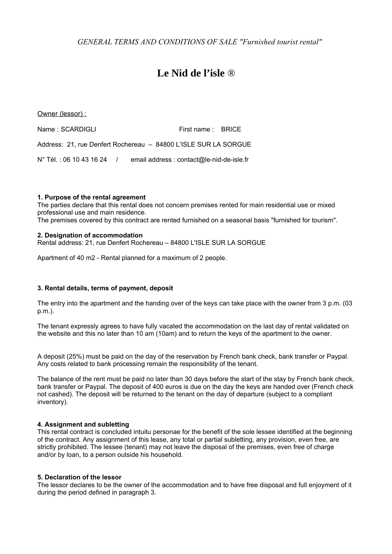*GENERAL TERMS AND CONDITIONS OF SALE "Furnished tourist rental"*

# **Le Nid de l'isle ®**

Owner (lessor) :

Name : SCARDIGLI First name : BRICE Address: 21, rue Denfert Rochereau – 84800 L'ISLE SUR LA SORGUE N° Tél. : 06 10 43 16 24 / email address : contact@le-nid-de-isle.fr

## **1. Purpose of the rental agreement**

The parties declare that this rental does not concern premises rented for main residential use or mixed professional use and main residence.

The premises covered by this contract are rented furnished on a seasonal basis "furnished for tourism".

## **2. Designation of accommodation**

Rental address: 21, rue Denfert Rochereau – 84800 L'ISLE SUR LA SORGUE

Apartment of 40 m2 - Rental planned for a maximum of 2 people.

# **3. Rental details, terms of payment, deposit**

The entry into the apartment and the handing over of the keys can take place with the owner from 3 p.m. (03 p.m.).

The tenant expressly agrees to have fully vacated the accommodation on the last day of rental validated on the website and this no later than 10 am (10am) and to return the keys of the apartment to the owner.

A deposit (25%) must be paid on the day of the reservation by French bank check, bank transfer or Paypal. Any costs related to bank processing remain the responsibility of the tenant.

The balance of the rent must be paid no later than 30 days before the start of the stay by French bank check, bank transfer or Paypal. The deposit of 400 euros is due on the day the keys are handed over (French check not cashed). The deposit will be returned to the tenant on the day of departure (subject to a compliant inventory).

## **4. Assignment and subletting**

This rental contract is concluded intuitu personae for the benefit of the sole lessee identified at the beginning of the contract. Any assignment of this lease, any total or partial subletting, any provision, even free, are strictly prohibited. The lessee (tenant) may not leave the disposal of the premises, even free of charge and/or by loan, to a person outside his household.

## **5. Declaration of the lessor**

The lessor declares to be the owner of the accommodation and to have free disposal and full enjoyment of it during the period defined in paragraph 3.